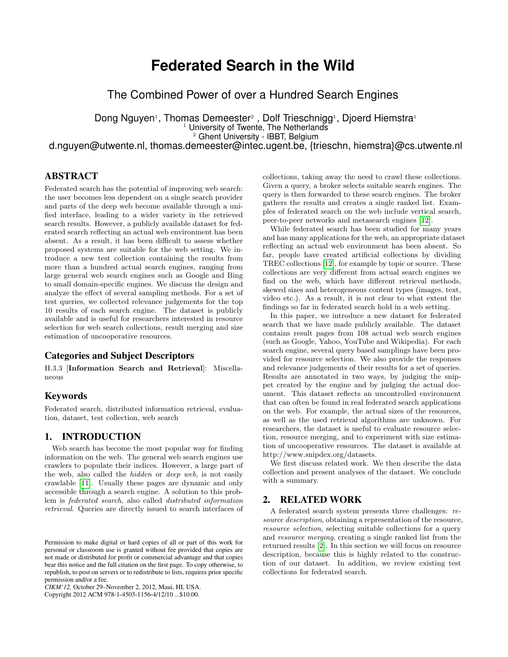# **Federated Search in the Wild**

The Combined Power of over a Hundred Search Engines

Dong Nguyen<sup>1</sup>, Thomas Demeester<sup>2</sup>, Dolf Trieschnigg<sup>1</sup>, Djoerd Hiemstra<sup>1</sup>

University of Twente, The Netherlands

<sup>2</sup> Ghent University - IBBT, Belgium

d.nguyen@utwente.nl, thomas.demeester@intec.ugent.be, {trieschn, hiemstra}@cs.utwente.nl

# ABSTRACT

Federated search has the potential of improving web search: the user becomes less dependent on a single search provider and parts of the deep web become available through a unified interface, leading to a wider variety in the retrieved search results. However, a publicly available dataset for federated search reflecting an actual web environment has been absent. As a result, it has been difficult to assess whether proposed systems are suitable for the web setting. We introduce a new test collection containing the results from more than a hundred actual search engines, ranging from large general web search engines such as Google and Bing to small domain-specific engines. We discuss the design and analyze the effect of several sampling methods. For a set of test queries, we collected relevance judgements for the top 10 results of each search engine. The dataset is publicly available and is useful for researchers interested in resource selection for web search collections, result merging and size estimation of uncooperative resources.

# Categories and Subject Descriptors

H.3.3 [Information Search and Retrieval]: Miscellaneous

# Keywords

Federated search, distributed information retrieval, evaluation, dataset, test collection, web search

# 1. INTRODUCTION

Web search has become the most popular way for finding information on the web. The general web search engines use crawlers to populate their indices. However, a large part of the web, also called the hidden or deep web, is not easily crawlable [\[11\]](#page-4-0). Usually these pages are dynamic and only accessible through a search engine. A solution to this problem is federated search, also called distributed information retrieval. Queries are directly issued to search interfaces of

Copyright 2012 ACM 978-1-4503-1156-4/12/10 ...\$10.00.

collections, taking away the need to crawl these collections. Given a query, a broker selects suitable search engines. The query is then forwarded to these search engines. The broker gathers the results and creates a single ranked list. Examples of federated search on the web include vertical search, peer-to-peer networks and metasearch engines [\[12\]](#page-4-1).

While federated search has been studied for many years and has many applications for the web, an appropriate dataset reflecting an actual web environment has been absent. So far, people have created artificial collections by dividing TREC collections [\[12\]](#page-4-1), for example by topic or source. These collections are very different from actual search engines we find on the web, which have different retrieval methods, skewed sizes and heterogeneous content types (images, text, video etc.). As a result, it is not clear to what extent the findings so far in federated search hold in a web setting.

In this paper, we introduce a new dataset for federated search that we have made publicly available. The dataset contains result pages from 108 actual web search engines (such as Google, Yahoo, YouTube and Wikipedia). For each search engine, several query based samplings have been provided for resource selection. We also provide the responses and relevance judgements of their results for a set of queries. Results are annotated in two ways, by judging the snippet created by the engine and by judging the actual document. This dataset reflects an uncontrolled environment that can often be found in real federated search applications on the web. For example, the actual sizes of the resources, as well as the used retrieval algorithms are unknown. For researchers, the dataset is useful to evaluate resource selection, resource merging, and to experiment with size estimation of uncooperative resources. The dataset is available at http://www.snipdex.org/datasets.

We first discuss related work. We then describe the data collection and present analyses of the dataset. We conclude with a summary.

# 2. RELATED WORK

A federated search system presents three challenges: resource description, obtaining a representation of the resource, resource selection, selecting suitable collections for a query and resource merging, creating a single ranked list from the returned results [\[2\]](#page-4-2). In this section we will focus on resource description, because this is highly related to the construction of our dataset. In addition, we review existing test collections for federated search.

Permission to make digital or hard copies of all or part of this work for personal or classroom use is granted without fee provided that copies are not made or distributed for profit or commercial advantage and that copies bear this notice and the full citation on the first page. To copy otherwise, to republish, to post on servers or to redistribute to lists, requires prior specific permission and/or a fee.

*CIKM'12,* October 29–November 2, 2012, Maui, HI, USA.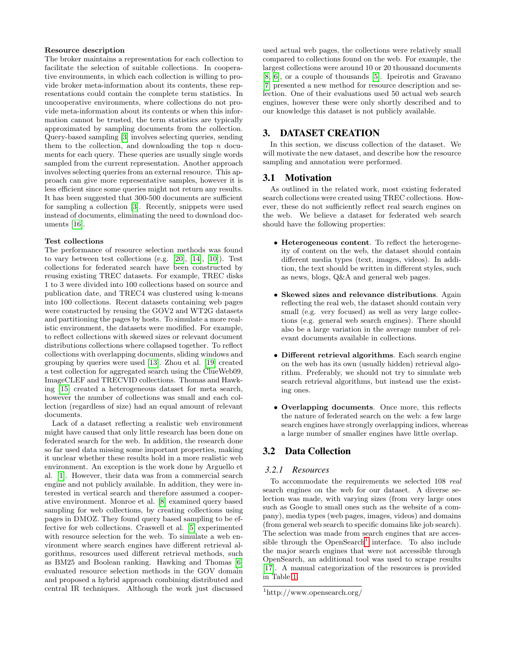### Resource description

The broker maintains a representation for each collection to facilitate the selection of suitable collections. In cooperative environments, in which each collection is willing to provide broker meta-information about its contents, these representations could contain the complete term statistics. In uncooperative environments, where collections do not provide meta-information about its contents or when this information cannot be trusted, the term statistics are typically approximated by sampling documents from the collection. Query-based sampling [\[3\]](#page-4-3) involves selecting queries, sending them to the collection, and downloading the top  $n$  documents for each query. These queries are usually single words sampled from the current representation. Another approach involves selecting queries from an external resource. This approach can give more representative samples, however it is less efficient since some queries might not return any results. It has been suggested that 300-500 documents are sufficient for sampling a collection [\[3\]](#page-4-3). Recently, snippets were used instead of documents, eliminating the need to download documents [\[16\]](#page-4-4).

### Test collections

The performance of resource selection methods was found to vary between test collections (e.g. [\[20\]](#page-4-5), [\[14\]](#page-4-6), [\[10\]](#page-4-7)). Test collections for federated search have been constructed by reusing existing TREC datasets. For example, TREC disks 1 to 3 were divided into 100 collections based on source and publication date, and TREC4 was clustered using k-means into 100 collections. Recent datasets containing web pages were constructed by reusing the GOV2 and WT2G datasets and partitioning the pages by hosts. To simulate a more realistic environment, the datasets were modified. For example, to reflect collections with skewed sizes or relevant document distributions collections where collapsed together. To reflect collections with overlapping documents, sliding windows and grouping by queries were used [\[13\]](#page-4-8). Zhou et al. [\[19\]](#page-4-9) created a test collection for aggregated search using the ClueWeb09, ImageCLEF and TRECVID collections. Thomas and Hawking [\[15\]](#page-4-10) created a heterogeneous dataset for meta search, however the number of collections was small and each collection (regardless of size) had an equal amount of relevant documents.

Lack of a dataset reflecting a realistic web environment might have caused that only little research has been done on federated search for the web. In addition, the research done so far used data missing some important properties, making it unclear whether these results hold in a more realistic web environment. An exception is the work done by Arguello et al. [\[1\]](#page-4-11). However, their data was from a commercial search engine and not publicly available. In addition, they were interested in vertical search and therefore assumed a cooperative environment. Monroe et al. [\[8\]](#page-4-12) examined query based sampling for web collections, by creating collections using pages in DMOZ. They found query based sampling to be effective for web collections. Craswell et al. [\[5\]](#page-4-13) experimented with resource selection for the web. To simulate a web environment where search engines have different retrieval algorithms, resources used different retrieval methods, such as BM25 and Boolean ranking. Hawking and Thomas [\[6\]](#page-4-14) evaluated resource selection methods in the GOV domain and proposed a hybrid approach combining distributed and central IR techniques. Although the work just discussed

used actual web pages, the collections were relatively small compared to collections found on the web. For example, the largest collections were around 10 or 20 thousand documents [\[8,](#page-4-12) [6\]](#page-4-14), or a couple of thousands [\[5\]](#page-4-13). Ipeirotis and Gravano [\[7\]](#page-4-15) presented a new method for resource description and selection. One of their evaluations used 50 actual web search engines, however these were only shortly described and to our knowledge this dataset is not publicly available.

## 3. DATASET CREATION

In this section, we discuss collection of the dataset. We will motivate the new dataset, and describe how the resource sampling and annotation were performed.

## 3.1 Motivation

As outlined in the related work, most existing federated search collections were created using TREC collections. However, these do not sufficiently reflect real search engines on the web. We believe a dataset for federated web search should have the following properties:

- Heterogeneous content. To reflect the heterogeneity of content on the web, the dataset should contain different media types (text, images, videos). In addition, the text should be written in different styles, such as news, blogs, Q&A and general web pages.
- Skewed sizes and relevance distributions. Again reflecting the real web, the dataset should contain very small (e.g. very focused) as well as very large collections (e.g. general web search engines). There should also be a large variation in the average number of relevant documents available in collections.
- Different retrieval algorithms. Each search engine on the web has its own (usually hidden) retrieval algorithm. Preferably, we should not try to simulate web search retrieval algorithms, but instead use the existing ones.
- Overlapping documents. Once more, this reflects the nature of federated search on the web: a few large search engines have strongly overlapping indices, whereas a large number of smaller engines have little overlap.

## 3.2 Data Collection

### *3.2.1 Resources*

To accommodate the requirements we selected 108 real search engines on the web for our dataset. A diverse selection was made, with varying sizes (from very large ones such as Google to small ones such as the website of a company), media types (web pages, images, videos) and domains (from general web search to specific domains like job search). The selection was made from search engines that are acces-sible through the OpenSearch<sup>[1](#page-1-0)</sup> interface. To also include the major search engines that were not accessible through OpenSearch, an additional tool was used to scrape results [\[17\]](#page-4-16). A manual categorization of the resources is provided in Table [1.](#page-2-0)

<span id="page-1-0"></span><sup>1</sup>http://www.opensearch.org/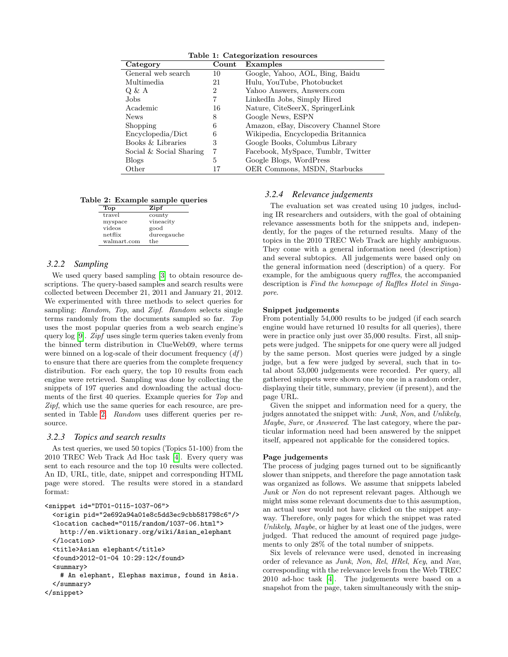| Category                | Count | Examples                              |
|-------------------------|-------|---------------------------------------|
| General web search      | 10    | Google, Yahoo, AOL, Bing, Baidu       |
| Multimedia.             | 21    | Hulu, YouTube, Photobucket            |
| Q & A                   | 2     | Yahoo Answers, Answers.com            |
| <b>Jobs</b>             |       | LinkedIn Jobs, Simply Hired           |
| Academic                | 16    | Nature, CiteSeerX, SpringerLink       |
| <b>News</b>             | 8     | Google News, ESPN                     |
| Shopping                | 6     | Amazon, eBay, Discovery Channel Store |
| Encyclopedia/Dict       | 6     | Wikipedia, Encyclopedia Britannica    |
| Books & Libraries       | 3     | Google Books, Columbus Library        |
| Social & Social Sharing |       | Facebook, MySpace, Tumblr, Twitter    |
| <b>Blogs</b>            | 5     | Google Blogs, WordPress               |
| Other                   | 17    | OER Commons, MSDN, Starbucks          |

<span id="page-2-0"></span>Table 1: Categorization resources

Table 2: Example sample queries

<span id="page-2-1"></span>

| Top         | Zipf        |
|-------------|-------------|
| travel      | county      |
| myspace     | vineacity   |
| videos      | good        |
| netflix     | dureegauche |
| walmart.com | the         |

## *3.2.2 Sampling*

We used query based sampling [\[3\]](#page-4-3) to obtain resource descriptions. The query-based samples and search results were collected between December 21, 2011 and January 21, 2012. We experimented with three methods to select queries for sampling: Random, Top, and Zipf. Random selects single terms randomly from the documents sampled so far. Top uses the most popular queries from a web search engine's query log [\[9\]](#page-4-17). Zipf uses single term queries taken evenly from the binned term distribution in ClueWeb09, where terms were binned on a log-scale of their document frequency  $(df)$ to ensure that there are queries from the complete frequency distribution. For each query, the top 10 results from each engine were retrieved. Sampling was done by collecting the snippets of 197 queries and downloading the actual documents of the first 40 queries. Example queries for Top and Zipf, which use the same queries for each resource, are presented in Table [2.](#page-2-1) Random uses different queries per resource.

### *3.2.3 Topics and search results*

As test queries, we used 50 topics (Topics 51-100) from the 2010 TREC Web Track Ad Hoc task [\[4\]](#page-4-18). Every query was sent to each resource and the top 10 results were collected. An ID, URL, title, date, snippet and corresponding HTML page were stored. The results were stored in a standard format:

```
<snippet id="DT01-0115-1037-06">
<origin pid="2e692a94a01e8c5dd3ec9cbb581798c6"/>
<location cached="0115/random/1037-06.html">
  http://en.wiktionary.org/wiki/Asian_elephant
</location>
<title>Asian elephant</title>
<found>2012-01-04 10:29:12</found>
<summary>
  # An elephant, Elephas maximus, found in Asia.
</summary>
```
# </snippet>

### *3.2.4 Relevance judgements*

The evaluation set was created using 10 judges, including IR researchers and outsiders, with the goal of obtaining relevance assessments both for the snippets and, independently, for the pages of the returned results. Many of the topics in the 2010 TREC Web Track are highly ambiguous. They come with a general information need (description) and several subtopics. All judgements were based only on the general information need (description) of a query. For example, for the ambiguous query raffles, the accompanied description is Find the homepage of Raffles Hotel in Singapore.

### Snippet judgements

From potentially 54,000 results to be judged (if each search engine would have returned 10 results for all queries), there were in practice only just over 35,000 results. First, all snippets were judged. The snippets for one query were all judged by the same person. Most queries were judged by a single judge, but a few were judged by several, such that in total about 53,000 judgements were recorded. Per query, all gathered snippets were shown one by one in a random order, displaying their title, summary, preview (if present), and the page URL.

Given the snippet and information need for a query, the judges annotated the snippet with: Junk, Non, and Unlikely, Maybe, Sure, or Answered. The last category, where the particular information need had been answered by the snippet itself, appeared not applicable for the considered topics.

### Page judgements

The process of judging pages turned out to be significantly slower than snippets, and therefore the page annotation task was organized as follows. We assume that snippets labeled Junk or Non do not represent relevant pages. Although we might miss some relevant documents due to this assumption, an actual user would not have clicked on the snippet anyway. Therefore, only pages for which the snippet was rated Unlikely, Maybe, or higher by at least one of the judges, were judged. That reduced the amount of required page judgements to only 28% of the total number of snippets.

Six levels of relevance were used, denoted in increasing order of relevance as Junk, Non, Rel, HRel, Key, and Nav, corresponding with the relevance levels from the Web TREC 2010 ad-hoc task [\[4\]](#page-4-18). The judgements were based on a snapshot from the page, taken simultaneously with the snip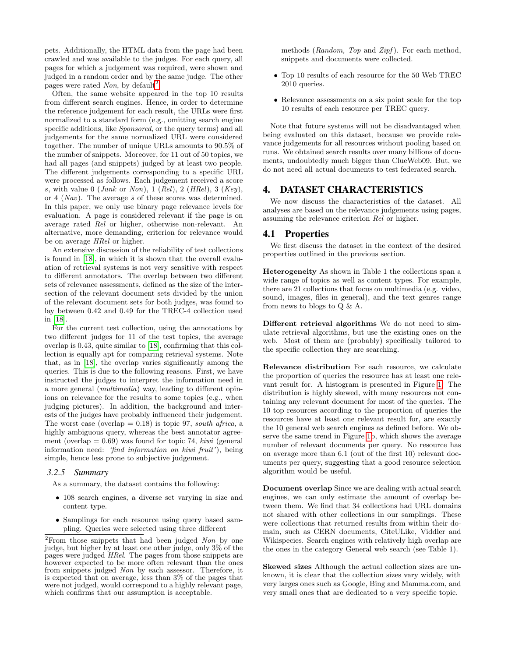pets. Additionally, the HTML data from the page had been crawled and was available to the judges. For each query, all pages for which a judgement was required, were shown and judged in a random order and by the same judge. The other pages were rated *Non*, by default<sup>[2](#page-3-0)</sup>.

Often, the same website appeared in the top 10 results from different search engines. Hence, in order to determine the reference judgement for each result, the URLs were first normalized to a standard form (e.g., omitting search engine specific additions, like *Sponsored*, or the query terms) and all judgements for the same normalized URL were considered together. The number of unique URLs amounts to 90.5% of the number of snippets. Moreover, for 11 out of 50 topics, we had all pages (and snippets) judged by at least two people. The different judgements corresponding to a specific URL were processed as follows. Each judgement received a score s, with value 0 (*Junk* or *Non*), 1 (*Rel*), 2 (*HRel*), 3 (*Key*), or 4 (Nav). The average  $\bar{s}$  of these scores was determined. In this paper, we only use binary page relevance levels for evaluation. A page is considered relevant if the page is on average rated Rel or higher, otherwise non-relevant. An alternative, more demanding, criterion for relevance would be on average HRel or higher.

An extensive discussion of the reliability of test collections is found in [\[18\]](#page-4-19), in which it is shown that the overall evaluation of retrieval systems is not very sensitive with respect to different annotators. The overlap between two different sets of relevance assessments, defined as the size of the intersection of the relevant document sets divided by the union of the relevant document sets for both judges, was found to lay between 0.42 and 0.49 for the TREC-4 collection used in [\[18\]](#page-4-19).

For the current test collection, using the annotations by two different judges for 11 of the test topics, the average overlap is 0.43, quite similar to [\[18\]](#page-4-19), confirming that this collection is equally apt for comparing retrieval systems. Note that, as in [\[18\]](#page-4-19), the overlap varies significantly among the queries. This is due to the following reasons. First, we have instructed the judges to interpret the information need in a more general (multimedia) way, leading to different opinions on relevance for the results to some topics (e.g., when judging pictures). In addition, the background and interests of the judges have probably influenced their judgement. The worst case (overlap  $= 0.18$ ) is topic 97, south africa, a highly ambiguous query, whereas the best annotator agreement (overlap  $= 0.69$ ) was found for topic 74, kiwi (general information need: 'find information on kiwi fruit'), being simple, hence less prone to subjective judgement.

#### *3.2.5 Summary*

As a summary, the dataset contains the following:

- 108 search engines, a diverse set varying in size and content type.
- Samplings for each resource using query based sampling. Queries were selected using three different

methods ( $Random$ , Top and Zipf). For each method, snippets and documents were collected.

- Top 10 results of each resource for the 50 Web TREC 2010 queries.
- Relevance assessments on a six point scale for the top 10 results of each resource per TREC query.

Note that future systems will not be disadvantaged when being evaluated on this dataset, because we provide relevance judgements for all resources without pooling based on runs. We obtained search results over many billions of documents, undoubtedly much bigger than ClueWeb09. But, we do not need all actual documents to test federated search.

# 4. DATASET CHARACTERISTICS

We now discuss the characteristics of the dataset. All analyses are based on the relevance judgements using pages, assuming the relevance criterion Rel or higher.

### 4.1 Properties

We first discuss the dataset in the context of the desired properties outlined in the previous section.

Heterogeneity As shown in Table 1 the collections span a wide range of topics as well as content types. For example, there are 21 collections that focus on multimedia (e.g. video, sound, images, files in general), and the text genres range from news to blogs to Q & A.

Different retrieval algorithms We do not need to simulate retrieval algorithms, but use the existing ones on the web. Most of them are (probably) specifically tailored to the specific collection they are searching.

Relevance distribution For each resource, we calculate the proportion of queries the resource has at least one relevant result for. A histogram is presented in Figure [1.](#page-4-20) The distribution is highly skewed, with many resources not containing any relevant document for most of the queries. The 10 top resources according to the proportion of queries the resources have at least one relevant result for, are exactly the 10 general web search engines as defined before. We observe the same trend in Figure [1b](#page-4-20), which shows the average number of relevant documents per query. No resource has on average more than 6.1 (out of the first 10) relevant documents per query, suggesting that a good resource selection algorithm would be useful.

Document overlap Since we are dealing with actual search engines, we can only estimate the amount of overlap between them. We find that 34 collections had URL domains not shared with other collections in our samplings. These were collections that returned results from within their domain, such as CERN documents, CiteULike, Viddler and Wikispecies. Search engines with relatively high overlap are the ones in the category General web search (see Table 1).

Skewed sizes Although the actual collection sizes are unknown, it is clear that the collection sizes vary widely, with very larges ones such as Google, Bing and Mamma.com, and very small ones that are dedicated to a very specific topic.

<span id="page-3-0"></span> $2$ From those snippets that had been judged Non by one judge, but higher by at least one other judge, only 3% of the pages were judged HRel. The pages from those snippets are however expected to be more often relevant than the ones from snippets judged Non by each assessor. Therefore, it is expected that on average, less than 3% of the pages that were not judged, would correspond to a highly relevant page, which confirms that our assumption is acceptable.